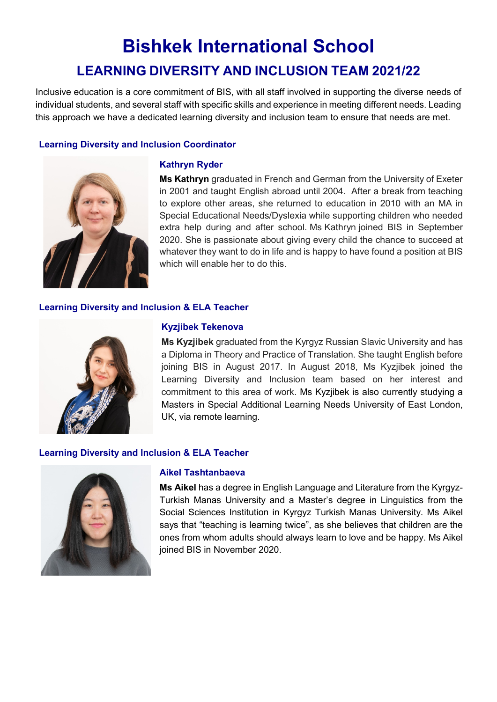# **Bishkek International School LEARNING DIVERSITY AND INCLUSION TEAM 2021/22**

Inclusive education is a core commitment of BIS, with all staff involved in supporting the diverse needs of individual students, and several staff with specific skills and experience in meeting different needs. Leading this approach we have a dedicated learning diversity and inclusion team to ensure that needs are met.

# **Learning Diversity and Inclusion Coordinator**



# **Kathryn Ryder**

**Ms Kathryn** graduated in French and German from the University of Exeter in 2001 and taught English abroad until 2004. After a break from teaching to explore other areas, she returned to education in 2010 with an MA in Special Educational Needs/Dyslexia while supporting children who needed extra help during and after school. Ms Kathryn joined BIS in September 2020. She is passionate about giving every child the chance to succeed at whatever they want to do in life and is happy to have found a position at BIS which will enable her to do this.

# **Learning Diversity and Inclusion & ELA Teacher**



# **Kyzjibek Tekenova**

**Ms Kyzjibek** graduated from the Kyrgyz Russian Slavic University and has a Diploma in Theory and Practice of Translation. She taught English before joining BIS in August 2017. In August 2018, Ms Kyzjibek joined the Learning Diversity and Inclusion team based on her interest and commitment to this area of work. [Ms Kyzjibek is also currently studying a](https://www.icepe.eu/university/Masters_in_Special__Additional_Learning_Needs_University_of_East_London)  Masters in Special Additional Learning Needs [University](https://www.icepe.eu/university/Masters_in_Special__Additional_Learning_Needs_University_of_East_London) of East London, UK, via remote learning.

# **Learning Diversity and Inclusion & ELA Teacher**



# **Aikel Tashtanbaeva**

**Ms Aikel** has a degree in English Language and Literature from the Kyrgyz-Turkish Manas University and a Master's degree in Linguistics from the Social Sciences Institution in Kyrgyz Turkish Manas University. Ms Aikel says that "teaching is learning twice", as she believes that children are the ones from whom adults should always learn to love and be happy. Ms Aikel joined BIS in November 2020.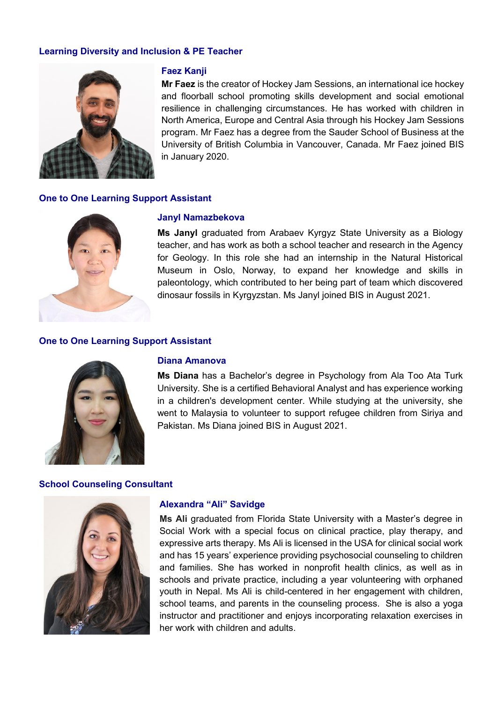# **Learning Diversity and Inclusion & PE Teacher**



### **Faez Kanji**

**Mr Faez** is the creator of Hockey Jam Sessions, an international ice hockey and floorball school promoting skills development and social emotional resilience in challenging circumstances. He has worked with children in North America, Europe and Central Asia through his Hockey Jam Sessions program. Mr Faez has a degree from the Sauder School of Business at the University of British Columbia in Vancouver, Canada. Mr Faez joined BIS in January 2020.

### **One to One Learning Support Assistant**



#### **Janyl Namazbekova**

**Ms Janyl** graduated from Arabaev Kyrgyz State University as a Biology teacher, and has work as both a school teacher and research in the Agency for Geology. In this role she had an internship in the Natural Historical Museum in Oslo, Norway, to expand her knowledge and skills in paleontology, which contributed to her being part of team which discovered dinosaur fossils in Kyrgyzstan. Ms Janyl joined BIS in August 2021.

#### **One to One Learning Support Assistant**



#### **Diana Amanova**

**Ms Diana** has a Bachelor's degree in Psychology from Ala Too Ata Turk University. She is a certified Behavioral Analyst and has experience working in a children's development center. While studying at the university, she went to Malaysia to volunteer to support refugee children from Siriya and Pakistan. Ms Diana joined BIS in August 2021.

#### **School Counseling Consultant**



#### **Alexandra "Ali" Savidge**

**Ms Ali** graduated from Florida State University with a Master's degree in Social Work with a special focus on clinical practice, play therapy, and expressive arts therapy. Ms Ali is licensed in the USA for clinical social work and has 15 years' experience providing psychosocial counseling to children and families. She has worked in nonprofit health clinics, as well as in schools and private practice, including a year volunteering with orphaned youth in Nepal. Ms Ali is child-centered in her engagement with children, school teams, and parents in the counseling process. She is also a yoga instructor and practitioner and enjoys incorporating relaxation exercises in her work with children and adults.